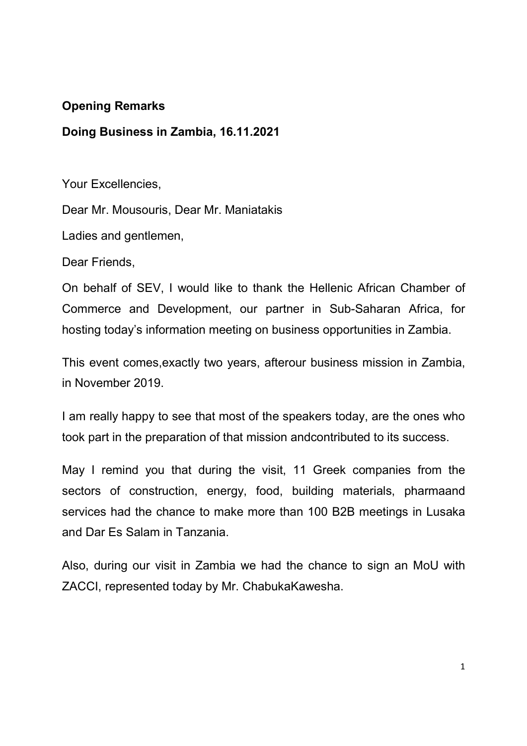## Opening Remarks

## Doing Business in Zambia, 16.11.2021

Your Excellencies,

Dear Mr. Mousouris, Dear Mr. Maniatakis

Ladies and gentlemen,

Dear Friends,

On behalf of SEV, I would like to thank the Hellenic African Chamber of Commerce and Development, our partner in Sub-Saharan Africa, for hosting today's information meeting on business opportunities in Zambia.

This event comes,exactly two years, afterour business mission in Zambia, in November 2019.

I am really happy to see that most of the speakers today, are the ones who took part in the preparation of that mission andcontributed to its success.

May I remind you that during the visit, 11 Greek companies from the sectors of construction, energy, food, building materials, pharmaand services had the chance to make more than 100 B2B meetings in Lusaka and Dar Es Salam in Tanzania.

Also, during our visit in Zambia we had the chance to sign an MoU with ZACCI, represented today by Mr. ChabukaKawesha.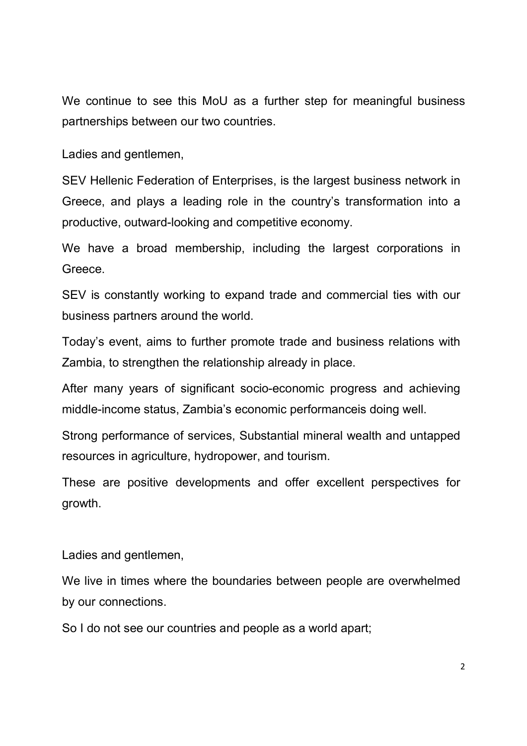We continue to see this MoU as a further step for meaningful business partnerships between our two countries.

Ladies and gentlemen,

SEV Hellenic Federation of Enterprises, is the largest business network in Greece, and plays a leading role in the country's transformation into a productive, outward-looking and competitive economy.

We have a broad membership, including the largest corporations in Greece.

SEV is constantly working to expand trade and commercial ties with our business partners around the world.

Today's event, aims to further promote trade and business relations with Zambia, to strengthen the relationship already in place.

After many years of significant socio-economic progress and achieving middle-income status, Zambia's economic performanceis doing well.

Strong performance of services, Substantial mineral wealth and untapped resources in agriculture, hydropower, and tourism.

These are positive developments and offer excellent perspectives for growth.

Ladies and gentlemen,

We live in times where the boundaries between people are overwhelmed by our connections.

So I do not see our countries and people as a world apart;